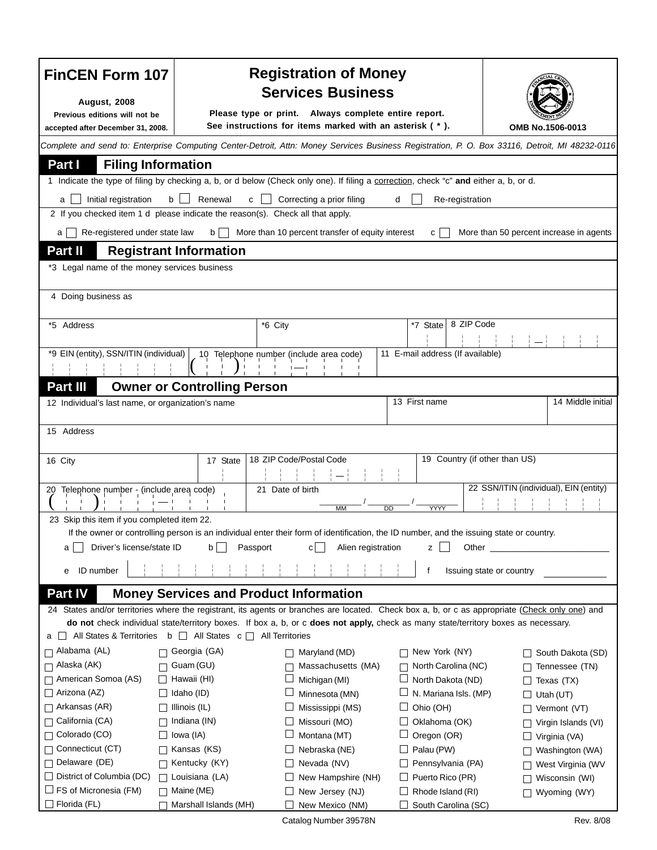| <b>FinCEN Form 107</b>                                                                                                                                                                                                                           |                                                      | <b>Registration of Money</b><br><b>Services Business</b>                                                                              |                                  |                                         |  |  |
|--------------------------------------------------------------------------------------------------------------------------------------------------------------------------------------------------------------------------------------------------|------------------------------------------------------|---------------------------------------------------------------------------------------------------------------------------------------|----------------------------------|-----------------------------------------|--|--|
| <b>August, 2008</b>                                                                                                                                                                                                                              | Please type or print. Always complete entire report. |                                                                                                                                       |                                  |                                         |  |  |
| Previous editions will not be<br>accepted after December 31, 2008.                                                                                                                                                                               |                                                      | See instructions for items marked with an asterisk (*).                                                                               |                                  | OMB No.1506-0013                        |  |  |
| Complete and send to: Enterprise Computing Center-Detroit, Attn: Money Services Business Registration, P. O. Box 33116, Detroit, MI 48232-0116                                                                                                   |                                                      |                                                                                                                                       |                                  |                                         |  |  |
| Part I<br><b>Filing Information</b>                                                                                                                                                                                                              |                                                      |                                                                                                                                       |                                  |                                         |  |  |
|                                                                                                                                                                                                                                                  |                                                      | 1 Indicate the type of filing by checking a, b, or d below (Check only one). If filing a correction, check "c" and either a, b, or d. |                                  |                                         |  |  |
| Renewal<br>Correcting a prior filing<br>Initial registration<br>b<br>Re-registration<br>c<br>d<br>a                                                                                                                                              |                                                      |                                                                                                                                       |                                  |                                         |  |  |
| 2 If you checked item 1 d please indicate the reason(s). Check all that apply.                                                                                                                                                                   |                                                      |                                                                                                                                       |                                  |                                         |  |  |
| Re-registered under state law<br>a I                                                                                                                                                                                                             | $b \mid \cdot$                                       | More than 10 percent transfer of equity interest                                                                                      | $\mathsf{C}$                     | More than 50 percent increase in agents |  |  |
|                                                                                                                                                                                                                                                  |                                                      |                                                                                                                                       |                                  |                                         |  |  |
| Part II<br><b>Registrant Information</b>                                                                                                                                                                                                         |                                                      |                                                                                                                                       |                                  |                                         |  |  |
| *3 Legal name of the money services business                                                                                                                                                                                                     |                                                      |                                                                                                                                       |                                  |                                         |  |  |
| 4 Doing business as                                                                                                                                                                                                                              |                                                      |                                                                                                                                       |                                  |                                         |  |  |
|                                                                                                                                                                                                                                                  |                                                      |                                                                                                                                       |                                  |                                         |  |  |
| *5 Address                                                                                                                                                                                                                                       |                                                      | *6 City                                                                                                                               | 8 ZIP Code<br>*7 State           |                                         |  |  |
|                                                                                                                                                                                                                                                  |                                                      |                                                                                                                                       |                                  |                                         |  |  |
| *9 EIN (entity), SSN/ITIN (individual)                                                                                                                                                                                                           |                                                      | 10 Telephone number (include area code)                                                                                               | 11 E-mail address (If available) |                                         |  |  |
|                                                                                                                                                                                                                                                  |                                                      |                                                                                                                                       |                                  |                                         |  |  |
| Part III                                                                                                                                                                                                                                         | <b>Owner or Controlling Person</b>                   |                                                                                                                                       |                                  |                                         |  |  |
| 12 Individual's last name, or organization's name                                                                                                                                                                                                |                                                      |                                                                                                                                       | 13 First name                    | 14 Middle initial                       |  |  |
|                                                                                                                                                                                                                                                  |                                                      |                                                                                                                                       |                                  |                                         |  |  |
| 15 Address                                                                                                                                                                                                                                       |                                                      |                                                                                                                                       |                                  |                                         |  |  |
|                                                                                                                                                                                                                                                  |                                                      |                                                                                                                                       |                                  |                                         |  |  |
| 16 City                                                                                                                                                                                                                                          | 17 State                                             | 18 ZIP Code/Postal Code                                                                                                               | 19 Country (if other than US)    |                                         |  |  |
|                                                                                                                                                                                                                                                  |                                                      |                                                                                                                                       |                                  |                                         |  |  |
| 22 SSN/ITIN (individual), EIN (entity)<br>21 Date of birth<br>20 Telephone number - (include area code)                                                                                                                                          |                                                      |                                                                                                                                       |                                  |                                         |  |  |
|                                                                                                                                                                                                                                                  |                                                      | <b>MM</b>                                                                                                                             | YYYY<br>DD                       |                                         |  |  |
| 23 Skip this item if you completed item 22.                                                                                                                                                                                                      |                                                      |                                                                                                                                       |                                  |                                         |  |  |
| If the owner or controlling person is an individual enter their form of identification, the ID number, and the issuing state or country.<br>Driver's license/state ID<br>Alien registration<br>$\mathsf{b}$<br>Passport<br>Other<br>c <br>z<br>а |                                                      |                                                                                                                                       |                                  |                                         |  |  |
|                                                                                                                                                                                                                                                  |                                                      |                                                                                                                                       |                                  |                                         |  |  |
| ID number<br>е                                                                                                                                                                                                                                   |                                                      |                                                                                                                                       | f                                | Issuing state or country                |  |  |
| Part IV<br><b>Money Services and Product Information</b>                                                                                                                                                                                         |                                                      |                                                                                                                                       |                                  |                                         |  |  |
| 24 States and/or territories where the registrant, its agents or branches are located. Check box a, b, or c as appropriate (Check only one) and                                                                                                  |                                                      |                                                                                                                                       |                                  |                                         |  |  |
|                                                                                                                                                                                                                                                  |                                                      | do not check individual state/territory boxes. If box a, b, or c does not apply, check as many state/territory boxes as necessary.    |                                  |                                         |  |  |
| $\Box$ All States & Territories b $\Box$ All States c $\Box$ All Territories<br>a                                                                                                                                                                |                                                      |                                                                                                                                       |                                  |                                         |  |  |
| Alabama (AL)<br>П                                                                                                                                                                                                                                | Georgia (GA)                                         | $\Box$ Maryland (MD)                                                                                                                  | New York (NY)                    | South Dakota (SD)                       |  |  |
| Alaska (AK)                                                                                                                                                                                                                                      | Guam (GU)                                            | Massachusetts (MA)                                                                                                                    | North Carolina (NC)              | Tennessee (TN)                          |  |  |
| American Somoa (AS)                                                                                                                                                                                                                              | Hawaii (HI)                                          | $\Box$<br>Michigan (MI)                                                                                                               | North Dakota (ND)                | Texas (TX)                              |  |  |
| Arizona (AZ)                                                                                                                                                                                                                                     | Idaho (ID)                                           | ப<br>Minnesota (MN)                                                                                                                   | N. Mariana Isls. (MP)            | Utah (UT)                               |  |  |
| Arkansas (AR)                                                                                                                                                                                                                                    | Illinois (IL)                                        | Mississippi (MS)                                                                                                                      | Ohio (OH)                        | Vermont (VT)                            |  |  |
| California (CA)<br>Colorado (CO)                                                                                                                                                                                                                 | Indiana (IN)                                         | Missouri (MO)<br>$\Box$<br>ப                                                                                                          | Oklahoma (OK)                    | Virgin Islands (VI)                     |  |  |
| Connecticut (CT)                                                                                                                                                                                                                                 | Iowa (IA)<br>Kansas (KS)                             | Montana (MT)<br>Nebraska (NE)<br>□                                                                                                    | Oregon (OR)<br>Palau (PW)        | Virginia (VA)                           |  |  |
| Delaware (DE)                                                                                                                                                                                                                                    | Kentucky (KY)                                        | $\Box$ Nevada (NV)                                                                                                                    | Pennsylvania (PA)                | Washington (WA)<br>West Virginia (WV    |  |  |
| $\Box$ District of Columbia (DC)                                                                                                                                                                                                                 | Louisiana (LA)                                       | New Hampshire (NH)                                                                                                                    | Puerto Rico (PR)                 | Wisconsin (WI)                          |  |  |
| $\Box$ FS of Micronesia (FM)                                                                                                                                                                                                                     | Maine (ME)                                           | New Jersey (NJ)                                                                                                                       | Rhode Island (RI)                | Wyoming (WY)                            |  |  |
| □ Florida (FL)                                                                                                                                                                                                                                   | Marshall Islands (MH)                                | New Mexico (NM)<br>Ш                                                                                                                  | South Carolina (SC)              |                                         |  |  |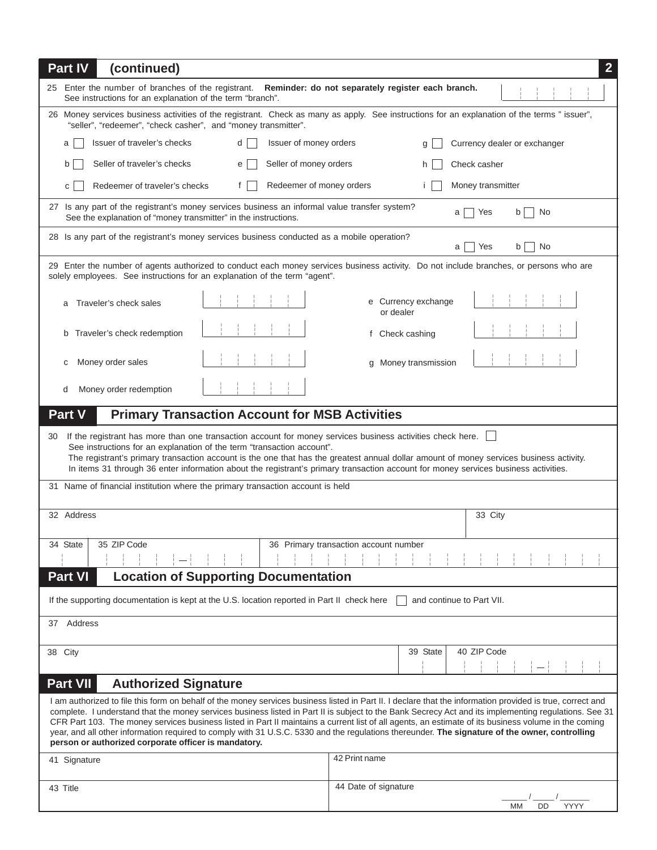| Part IV<br>(continued)                                                                                                                                                                                                                                                                                                                                                                                                                                                                                                                                                                                                                                                                | $\overline{2}$                        |  |  |  |
|---------------------------------------------------------------------------------------------------------------------------------------------------------------------------------------------------------------------------------------------------------------------------------------------------------------------------------------------------------------------------------------------------------------------------------------------------------------------------------------------------------------------------------------------------------------------------------------------------------------------------------------------------------------------------------------|---------------------------------------|--|--|--|
| 25 Enter the number of branches of the registrant. Reminder: do not separately register each branch.<br>See instructions for an explanation of the term "branch".                                                                                                                                                                                                                                                                                                                                                                                                                                                                                                                     |                                       |  |  |  |
| 26 Money services business activities of the registrant. Check as many as apply. See instructions for an explanation of the terms " issuer",<br>"seller", "redeemer", "check casher", and "money transmitter".                                                                                                                                                                                                                                                                                                                                                                                                                                                                        |                                       |  |  |  |
| Issuer of money orders<br>Issuer of traveler's checks<br>d<br>a                                                                                                                                                                                                                                                                                                                                                                                                                                                                                                                                                                                                                       | Currency dealer or exchanger          |  |  |  |
| Seller of money orders<br>Seller of traveler's checks<br>b<br>e                                                                                                                                                                                                                                                                                                                                                                                                                                                                                                                                                                                                                       | Check casher<br>h.                    |  |  |  |
| Redeemer of money orders<br>Redeemer of traveler's checks<br>f<br>C                                                                                                                                                                                                                                                                                                                                                                                                                                                                                                                                                                                                                   | Money transmitter<br>Ť.               |  |  |  |
| 27 Is any part of the registrant's money services business an informal value transfer system?<br>Yes<br>b<br>No<br>a<br>See the explanation of "money transmitter" in the instructions.                                                                                                                                                                                                                                                                                                                                                                                                                                                                                               |                                       |  |  |  |
| 28 Is any part of the registrant's money services business conducted as a mobile operation?<br>No<br>Yes<br>a<br>b                                                                                                                                                                                                                                                                                                                                                                                                                                                                                                                                                                    |                                       |  |  |  |
| 29 Enter the number of agents authorized to conduct each money services business activity. Do not include branches, or persons who are<br>solely employees. See instructions for an explanation of the term "agent".                                                                                                                                                                                                                                                                                                                                                                                                                                                                  |                                       |  |  |  |
| Traveler's check sales                                                                                                                                                                                                                                                                                                                                                                                                                                                                                                                                                                                                                                                                | e Currency exchange<br>or dealer      |  |  |  |
| Traveler's check redemption<br>b                                                                                                                                                                                                                                                                                                                                                                                                                                                                                                                                                                                                                                                      | f Check cashing                       |  |  |  |
| Money order sales<br>С                                                                                                                                                                                                                                                                                                                                                                                                                                                                                                                                                                                                                                                                | g Money transmission                  |  |  |  |
| Money order redemption<br>d                                                                                                                                                                                                                                                                                                                                                                                                                                                                                                                                                                                                                                                           |                                       |  |  |  |
| Part V<br><b>Primary Transaction Account for MSB Activities</b>                                                                                                                                                                                                                                                                                                                                                                                                                                                                                                                                                                                                                       |                                       |  |  |  |
| If the registrant has more than one transaction account for money services business activities check here.<br>30<br>See instructions for an explanation of the term "transaction account".<br>The registrant's primary transaction account is the one that has the greatest annual dollar amount of money services business activity.<br>In items 31 through 36 enter information about the registrant's primary transaction account for money services business activities.                                                                                                                                                                                                          |                                       |  |  |  |
| 31 Name of financial institution where the primary transaction account is held                                                                                                                                                                                                                                                                                                                                                                                                                                                                                                                                                                                                        |                                       |  |  |  |
| 32 Address                                                                                                                                                                                                                                                                                                                                                                                                                                                                                                                                                                                                                                                                            | 33 City                               |  |  |  |
| 34 State<br>35 ZIP Code                                                                                                                                                                                                                                                                                                                                                                                                                                                                                                                                                                                                                                                               | 36 Primary transaction account number |  |  |  |
| Part VI<br><b>Location of Supporting Documentation</b>                                                                                                                                                                                                                                                                                                                                                                                                                                                                                                                                                                                                                                |                                       |  |  |  |
| If the supporting documentation is kept at the U.S. location reported in Part II check here<br>and continue to Part VII.                                                                                                                                                                                                                                                                                                                                                                                                                                                                                                                                                              |                                       |  |  |  |
| Address<br>37                                                                                                                                                                                                                                                                                                                                                                                                                                                                                                                                                                                                                                                                         |                                       |  |  |  |
| 38 City                                                                                                                                                                                                                                                                                                                                                                                                                                                                                                                                                                                                                                                                               | 40 ZIP Code<br>39 State               |  |  |  |
| <b>Part VII</b><br><b>Authorized Signature</b>                                                                                                                                                                                                                                                                                                                                                                                                                                                                                                                                                                                                                                        |                                       |  |  |  |
| I am authorized to file this form on behalf of the money services business listed in Part II. I declare that the information provided is true, correct and<br>complete. I understand that the money services business listed in Part II is subject to the Bank Secrecy Act and its implementing regulations. See 31<br>CFR Part 103. The money services business listed in Part II maintains a current list of all agents, an estimate of its business volume in the coming<br>year, and all other information required to comply with 31 U.S.C. 5330 and the regulations thereunder. The signature of the owner, controlling<br>person or authorized corporate officer is mandatory. |                                       |  |  |  |
| 41 Signature                                                                                                                                                                                                                                                                                                                                                                                                                                                                                                                                                                                                                                                                          | 42 Print name                         |  |  |  |
| 43 Title                                                                                                                                                                                                                                                                                                                                                                                                                                                                                                                                                                                                                                                                              | 44 Date of signature                  |  |  |  |
|                                                                                                                                                                                                                                                                                                                                                                                                                                                                                                                                                                                                                                                                                       | MM<br>DD<br>YYYY                      |  |  |  |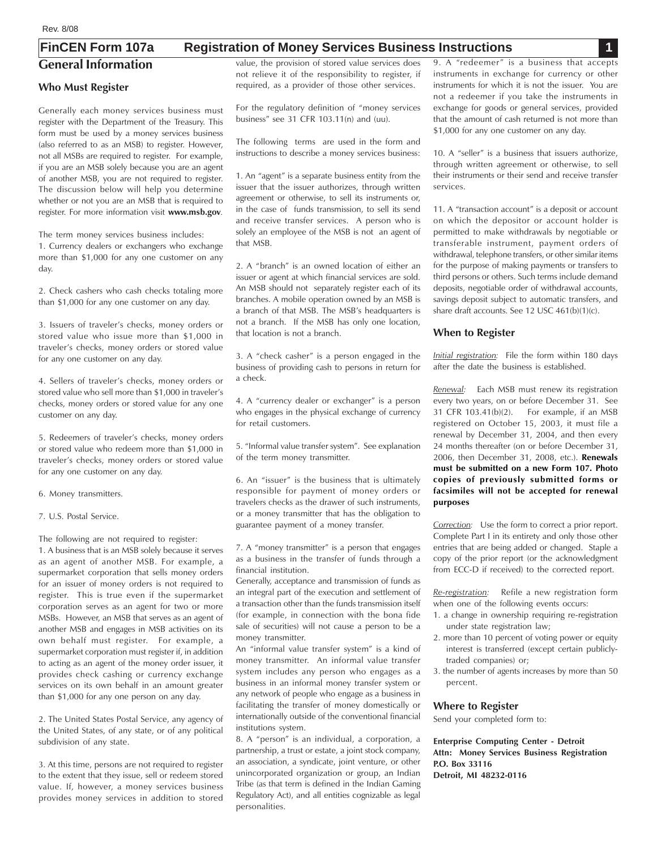# **General Information FinCEN Form 107a Registration of Money Services Business Instructions 1**

#### **Who Must Register**

Generally each money services business must register with the Department of the Treasury. This form must be used by a money services business (also referred to as an MSB) to register. However, not all MSBs are required to register. For example, if you are an MSB solely because you are an agent of another MSB, you are not required to register. The discussion below will help you determine whether or not you are an MSB that is required to register. For more information visit **www.msb.gov***.*

The term money services business includes: 1. Currency dealers or exchangers who exchange more than \$1,000 for any one customer on any day.

2. Check cashers who cash checks totaling more than \$1,000 for any one customer on any day.

3. Issuers of traveler's checks, money orders or stored value who issue more than \$1,000 in traveler's checks, money orders or stored value for any one customer on any day.

4. Sellers of traveler's checks, money orders or stored value who sell more than \$1,000 in traveler's checks, money orders or stored value for any one customer on any day.

5. Redeemers of traveler's checks, money orders or stored value who redeem more than \$1,000 in traveler's checks, money orders or stored value for any one customer on any day.

6. Money transmitters.

7. U.S. Postal Service.

The following are not required to register:

uired to register:<br>B solely because it serves<br>MSB. For example, a<br>that sells money orders<br>rders is not required to 1. A business that is an MSB solely because it serves as an agent of another MSB. For example, a supermarket corporation that sells money orders for an issuer of money orders is not required to register. This is true even if the supermarket corporation serves as an agent for two or more MSBs. However, an MSB that serves as an agent of another MSB and engages in MSB activities on its own behalf must register. For example, a supermarket corporation must register if, in addition to acting as an agent of the money order issuer, it provides check cashing or currency exchange services on its own behalf in an amount greater than \$1,000 for any one person on any day.

2. The United States Postal Service, any agency of the United States, of any state, or of any political subdivision of any state.

3. At this time, persons are not required to register to the extent that they issue, sell or redeem stored value. If, however, a money services business provides money services in addition to stored

value, the provision of stored value services does not relieve it of the responsibility to register, if required, as a provider of those other services.

For the regulatory definition of "money services business" see 31 CFR 103.11(n) and (uu).

The following terms are used in the form and instructions to describe a money services business:

1. An "agent" is a separate business entity from the issuer that the issuer authorizes, through written agreement or otherwise, to sell its instruments or, in the case of funds transmission, to sell its send and receive transfer services. A person who is solely an employee of the MSB is not an agent of that MSB.

2. A "branch" is an owned location of either an issuer or agent at which financial services are sold. An MSB should not separately register each of its branches. A mobile operation owned by an MSB is a branch of that MSB. The MSB's headquarters is not a branch. If the MSB has only one location, that location is not a branch.

3. A "check casher" is a person engaged in the business of providing cash to persons in return for a check.

4. A "currency dealer or exchanger" is a person who engages in the physical exchange of currency for retail customers.

5. "Informal value transfer system". See explanation of the term money transmitter.

or stored value<br>
3. A "check casher" is a person engaged in the *lnitial registration*:<br>
business of providing cash to persons in return for<br>
a check.<br>
Renewal: Each M<br>
lue for any one<br>
4. A "currency dealer or exchanger" 6. An "issuer" is the business that is ultimately responsible for payment of money orders or travelers checks as the drawer of such instruments, or a money transmitter that has the obligation to guarantee payment of a money transfer.

7. A "money transmitter" is a person that engages as a business in the transfer of funds through a financial institution.

Generally, acceptance and transmission of funds as an integral part of the execution and settlement of a transaction other than the funds transmission itself (for example, in connection with the bona fide sale of securities) will not cause a person to be a money transmitter.

An "informal value transfer system" is a kind of money transmitter. An informal value transfer system includes any person who engages as a business in an informal money transfer system or any network of people who engage as a business in facilitating the transfer of money domestically or internationally outside of the conventional financial institutions system.

8. A "person" is an individual, a corporation, a partnership, a trust or estate, a joint stock company, an association, a syndicate, joint venture, or other unincorporated organization or group, an Indian Tribe (as that term is defined in the Indian Gaming Regulatory Act), and all entities cognizable as legal personalities.

9. A "redeemer" is a business that accepts instruments in exchange for currency or other instruments for which it is not the issuer. You are not a redeemer if you take the instruments in exchange for goods or general services, provided that the amount of cash returned is not more than \$1,000 for any one customer on any day.

10. A "seller" is a business that issuers authorize, through written agreement or otherwise, to sell their instruments or their send and receive transfer services.

11. A "transaction account" is a deposit or account on which the depositor or account holder is permitted to make withdrawals by negotiable or transferable instrument, payment orders of withdrawal, telephone transfers, or other similar items for the purpose of making payments or transfers to third persons or others. Such terms include demand deposits, negotiable order of withdrawal accounts, savings deposit subject to automatic transfers, and share draft accounts. See 12 USC 461(b)(1)(c).

## **When to Register**

*Initial registration:*File the form within 180 days after the date the business is established.

*Renewal:*Each MSB must renew its registration every two years, on or before December 31. See 31 CFR 103.41(b)(2). For example, if an MSB registered on October 15, 2003, it must file a renewal by December 31, 2004, and then every 24 months thereafter (on or before December 31, 2006, then December 31, 2008, etc.). **Renewals must be submitted on a new Form 107. Photo copies of previously submitted forms or facsimiles will not be accepted for renewal purposes**

*Correction:* Use the form to correct a prior report. Complete Part I in its entirety and only those other entries that are being added or changed. Staple a copy of the prior report (or the acknowledgment from ECC-D if received) to the corrected report.

*Re-registration:*Refile a new registration form when one of the following events occurs:

- 1. a change in ownership requiring re-registration under state registration law;
- 2. more than 10 percent of voting power or equity interest is transferred (except certain publiclytraded companies) or;
- 3. the number of agents increases by more than 50 percent.

#### **Where to Register**

Send your completed form to:

**Enterprise Computing Center - Detroit Attn: Money Services Business Registration P.O. Box 33116 Detroit, MI 48232-0116**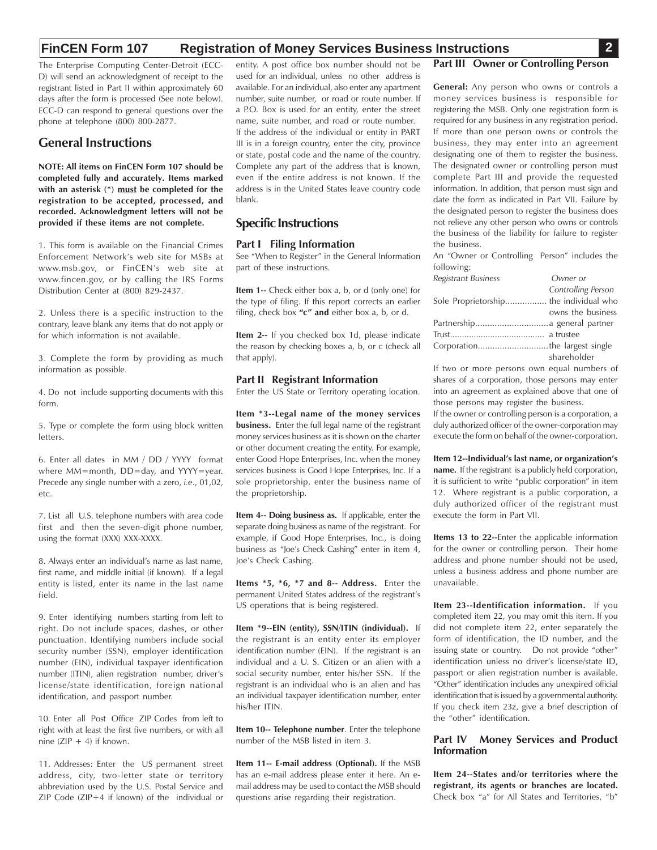## **FinCEN Form 107 Registration of Money Services Business Instructions 2**

The Enterprise Computing Center-Detroit (ECC-D) will send an acknowledgment of receipt to the registrant listed in Part II within approximately 60 days after the form is processed (See note below). ECC-D can respond to general questions over the phone at telephone (800) 800-2877.

## **General Instructions**

**NOTE: All items on FinCEN Form 107 should be completed fully and accurately. Items marked with an asterisk (\*) must be completed for the registration to be accepted, processed, and recorded. Acknowledgment letters will not be provided if these items are not complete.**

1. This form is available on the Financial Crimes Enforcement Network's web site for MSBs at www.msb.gov, or FinCEN's web site at www.fincen.gov, or by calling the IRS Forms Distribution Center at (800) 829-2437.

2. Unless there is a specific instruction to the contrary, leave blank any items that do not apply or for which information is not available.

3. Complete the form by providing as much information as possible.

4. Do not include supporting documents with this form.

5. Type or complete the form using block written letters.

6. Enter all dates in MM / DD / YYYY format where MM=month, DD=day, and YYYY=year. Precede any single number with a zero, *i.e*., 01,02, etc.

7. List all U.S. telephone numbers with area code first and then the seven-digit phone number, using the format (XXX) XXX-XXXX.

one numbers with area code<br>even-digit phone number,<br>XXX-XXXX.<br>ividual's name as last name,<br>initial (if known). If a lega<br>its name in the last name 8. Always enter an individual's name as last name, first name, and middle initial (if known). If a legal entity is listed, enter its name in the last name field.

9. Enter identifying numbers starting from left to right. Do not include spaces, dashes, or other punctuation. Identifying numbers include social security number (SSN), employer identification number (EIN), individual taxpayer identification number (ITIN), alien registration number, driver's license/state identification, foreign national identification, and passport number.

10. Enter all Post Office ZIP Codes from left to right with at least the first five numbers, or with all  $nine$  (ZIP + 4) if known.

11. Addresses: Enter the US permanent street address, city, two-letter state or territory abbreviation used by the U.S. Postal Service and ZIP Code (ZIP+4 if known) of the individual or

entity. A post office box number should not be used for an individual, unless no other address is available. For an individual, also enter any apartment number, suite number, or road or route number. If a P.O. Box is used for an entity, enter the street name, suite number, and road or route number. If the address of the individual or entity in PART III is in a foreign country, enter the city, province or state, postal code and the name of the country. Complete any part of the address that is known, even if the entire address is not known. If the address is in the United States leave country code blank.

# **Specific Instructions**

## **Part I Filing Information**

See "When to Register" in the General Information part of these instructions.

**Item 1--** Check either box a, b, or d (only one) for the type of filing. If this report corrects an earlier filing, check box **"c" and** either box a, b, or d.

**Item 2--** If you checked box 1d, please indicate the reason by checking boxes a, b, or c (check all that apply).

#### **Part II Registrant Information**

Enter the US State or Territory operating location.

the reason by checking boxes a, b, or c (check all Corporation......<br> **Part II Registrant Information** that apply).<br> **Part II Registrant Information** shares of a corp<br> **Part II Registrant Information** shares of a corp<br> **RA Item \*3--Legal name of the money services business.** Enter the full legal name of the registrant money services business as it is shown on the charter or other document creating the entity. For example, enter Good Hope Enterprises, Inc. when the money services business is Good Hope Enterprises, Inc. If a sole proprietorship, enter the business name of the proprietorship.

**Item 4-- Doing business as.** If applicable, enter the separate doing business as name of the registrant. For example, if Good Hope Enterprises, Inc., is doing business as "Joe's Check Cashing" enter in item 4, Joe's Check Cashing.

**Items \*5, \*6, \*7 and 8-- Address.** Enter the permanent United States address of the registrant's US operations that is being registered.

**Item \*9--EIN (entity), SSN/ITIN (individual).** If the registrant is an entity enter its employer identification number (EIN). If the registrant is an individual and a U. S. Citizen or an alien with a social security number, enter his/her SSN. If the registrant is an individual who is an alien and has an individual taxpayer identification number, enter his/her ITIN.

**Item 10-- Telephone number**. Enter the telephone number of the MSB listed in item 3.

**Item 11-- E-mail address (Optional).** If the MSB has an e-mail address please enter it here. An email address may be used to contact the MSB should questions arise regarding their registration.

#### **Part III Owner or Controlling Person**

**General:** Any person who owns or controls a money services business is responsible for registering the MSB. Only one registration form is required for any business in any registration period. If more than one person owns or controls the business, they may enter into an agreement designating one of them to register the business. The designated owner or controlling person must complete Part III and provide the requested information. In addition, that person must sign and date the form as indicated in Part VII. Failure by the designated person to register the business does not relieve any other person who owns or controls the business of the liability for failure to register the business.

An "Owner or Controlling Person" includes the following:

| <b>Registrant Business</b>             | Owner or           |
|----------------------------------------|--------------------|
|                                        | Controlling Person |
| Sole Proprietorship the individual who |                    |
|                                        | owns the business  |
|                                        |                    |
|                                        |                    |
|                                        |                    |
|                                        | shareholder        |

If two or more persons own equal numbers of shares of a corporation, those persons may enter into an agreement as explained above that one of those persons may register the business.

If the owner or controlling person is a corporation, a duly authorized officer of the owner-corporation may execute the form on behalf of the owner-corporation.

**Item 12--Individual's last name, or organization's name.** If the registrant is a publicly held corporation, it is sufficient to write "public corporation" in item 12. Where registrant is a public corporation, a duly authorized officer of the registrant must execute the form in Part VII.

**Items 13 to 22--**Enter the applicable information for the owner or controlling person. Their home address and phone number should not be used, unless a business address and phone number are unavailable.

**Item 23--Identification information.** If you completed item 22, you may omit this item. If you did not complete item 22, enter separately the form of identification, the ID number, and the issuing state or country. Do not provide "other" identification unless no driver's license/state ID, passport or alien registration number is available. "Other" identification includes any unexpired official identification that is issued by a governmental authority. If you check item 23z, give a brief description of the "other" identification.

#### **Part IV Money Services and Product Information**

**Item 24--States and/or territories where the registrant, its agents or branches are located.** Check box "a" for All States and Territories, "b"